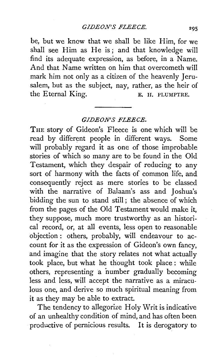be, but we know that we shall be like Him, for we shall see Him as He is; and that knowledge will find its adequate expression, as before, in a Name. And that Name written on him that overcometh will mark him not only as a citizen of the heavenly Jerusalem, but as the subject, nay, rather, as the heir of the Eternal King.<br> **E. H. PLUMPTRE.** 

## *GIDEON'S FLEECE.*

THE story of Gideon's Fleece is one which will be read by different people in different ways. Some will probably regard it as one of those improbable stories of which so many are to be found in the Old Testament, which they despair of reducing to any sort of harmony with the facts of common life, and consequently reject as mere stories to be classed with the narrative of Balaam's ass and Joshua's bidding the sun to stand still ; the absence of which from the pages of the Old Testament would make it, they suppose, much more trustworthy as an historical record, or, at all events, less open to reasonable objection : others, probably, will endeavour to account for it as the expression of Gideon's own fancy, and imagine that the story relates not what actually took place, but what he thought took place : while others, representing a number gradually becoming less and less, will accept the narrative as a miraculous one, and derive so much spiritual meaning from it as they may be able to extract.

The tendency to allegorize Holy Writ is indicative of an unhealthy condition of mind, and has often been productive of pernicious results. It is derogatory to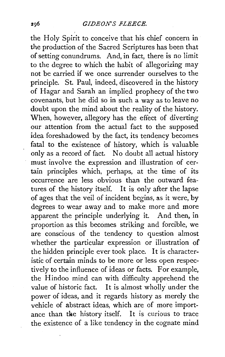the Holy Spirit to conceive that his chief concern in the production of the Sacred Scriptures has been that of setting conundrums. And, in fact, there is no limit to the degree to which the habit of allegorizing may not be carried if we once surrender ourselves to the principle. St. Paul, indeed, discovered in the history of Hagar and Sarah an implied prophecy of the two covenants, but he did so in such a way as to leave no doubt upon the mind about the reality of the history. When, however, allegory has the effect of diverting our attention from the actual fact to the supposed idea foreshadowed by the fact, its tendency becomes fatal to the existence of history, which is valuable only as a record of fact. No doubt all actual history must involve the expression and illustration of certain principles which, perhaps, at the time of its occurrence are less obvious than the outward features of the history itself. It is only after the lapse of ages that the veil of incident begins, as it were, by degrees to wear away and to make more and more apparent the principle underlying it. And then, in proportion as this becomes striking and forcible, we are conscious of the tendency to question almost whether the particular expression or illustration of the hidden principle ever took place. It is characteristic of certain minds to be more or less open respectively to the influence of ideas or facts. For example, the Hindoo mind can with difficulty apprehend the value of historic fact. It is almost wholly under the power of ideas, and it regards history as merely the vehicle of abstract ideas, which are of more importance than the history itself. It is curious to trace the existence of a like tendency in the cognate mind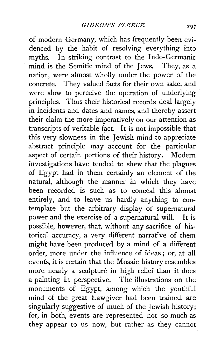of modern Germany, which has frequently been evidenced by the habit of resolving everything into myths. In striking contrast to the Indo-Germanic mind is the Semitic mind of the Jews. They, as a nation, were almost wholly under the power of the concrete. They valued facts for their own sake, and were slow to perceive the operation of underlying principles. Thus their historical records deal largely in incidents and dates and names, and thereby assert their claim the more imperatively on our attention as transcripts of veritable fact. **It** is not impossible that this very slowness in the Jewish mind to appreciate abstract principle may account for the particular aspect of certain portions of their history. Modern investigations have tended to shew that the plagues of Egypt had in them certainly an element of the natural, although the manner **in** which they have been recorded is such as to conceal this almost entirely, and to leave us hardly anything to contemplate but the arbitrary display of supernatural power and the exercise of a supernatural will. It is possible, however, that, without any sacrifice of historical accuracy, a very different narrative of them might have been produced by a mind of **a** different order, more under the influence of ideas ; or, at all events, it is certain that the Mosaic history resembles more nearly a sculpture in high relief than **it** does a painting in perspective. The illustrations on the monuments of Egypt, among which the youthful mind of the great Lawgiver had been trained, are singularly suggestive of much of the Jewish history; for, in both, events are represented not so much as they appear to us now, but rather as they cannot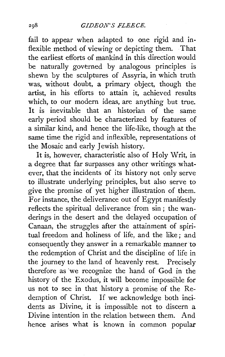fail to appear when adapted to one rigid and inflexible method of viewing or depicting them. That the earliest efforts of mankind in this direction would be naturally governed by analogous principles is shewn by the sculptures of Assyria, in which truth was, without doubt, a primary object, though the artist, in his efforts to attain it, achieved results which, to our modern ideas, are anything but true. It is inevitable that an historian of the same early period should be characterized by features of a similar kind, and hence the life-like, though at the same time the rigid and inflexible, representations of the Mosaic and early Jewish history.

It is, however, characteristic also of Holy Writ, in a degree that far surpasses any other writings whatever, that the incidents of its history not only serve to illustrate underlying principles, but also serve to give the promise of yet higher illustration of them. For instance, the deliverance out of Egypt manifestly reflects the spiritual deliverance from sin ; the wanderings in the desert and the delayed occupation of Canaan, the struggles after the attainment of spiritual freedom and holiness of life, and the like ; and consequently they answer in a remarkable manner to the redemption of Christ and the discipline of life in the journey to the land of heavenly rest. Precisely therefore as we recognize the hand of God in the history of the Exodus, it will become impossible for us not to see in that history a promise of the Redemption of Christ. If we acknowledge both incidents as Divine, it is impossible not to discern a Divine intention in the relation between them. And hence arises what is known in common popular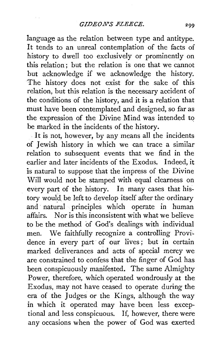language as the relation between type and antitype. It tends to an unreal contemplation of the facts of history to dwell too exclusively or prominently on this relation ; but the relation is one that we cannot but acknowledge if we acknowledge the history. The history does not exist for the sake of this relation, but this relation is the necessary accident of the conditions of the history, and it is a relation that must have been contemplated and designed, so far as the expression of the Divine Mind was intended to be marked in the incidents of the history.

It is not, however, by any means all the incidents of Jewish history in which we can trace a similar relation to subsequent events that we find in the earlier and later incidents of the Exodus. Indeed, it is natural to suppose that the impress of the Divine Will would not be stamped with equal clearness on every part of the history. In many cases that history would be left to develop itself after the ordinary and natural principles which operate in human affairs. Nor is this inconsistent with what we believe to be the method of God's dealings with individual men. We faithfully recognize a controlling Providence in every part of our lives; but in certain marked deliverances and acts of special mercy we are constrained to confess that the finger of God has been conspicuously manifested. The same Almighty Power, therefore, which operated wondrously at the Exodus, may not have ceased to operate during the era of the Judges or the Kings, although the way in which it operated may have been less exceptional and less conspicuous. If, however, there were any occasions when the power of God was exerted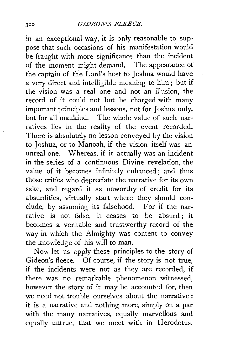in an exceptional way, it is only reasonable to suppose that such occasions of his manifestation would be fraught with more significance than the incident of the moment might demand. The appearance of the captain of tne Lord's host to Joshua would have a very direct and intelligible meaning to him ; but if the vision was a real one and not an illusion, the record of it could not but be charged with many important principles and lessons, not for Joshua only, but for all mankind. The whole value of such narratives lies in the reality of the event recorded. There is absolutely no lesson conveyed by the vision to Joshua, or to Manoah, if the vision itself was an unreal one. Whereas, if it actually was an incident in the series of a continuous Divine revelation, the value of it becomes infinitely enhanced; and thus those critics who depreciate the narrative for its own sake, and regard it as unworthy of credit for its absurdities, virtually start where they should conclude, by assuming its falsehood. For if the narrative is not false, it ceases to be absurd; it becomes a veritable and trustworthy record of the way in which the Almighty was content to convey the knowledge of his will to man.

Now let us apply these principles to the story of Gideon's fleece. Of course, if the story is not true, if the incidents were not as they are recorded, if there was no remarkable phenomenon witnessed, however the story of it may be accounted for, then we need not trouble ourselves about the narrative; it is a narrative and nothing more, simply on a par with the many narratives, equally marvellous and equally untrue, that we meet with in Herodotus.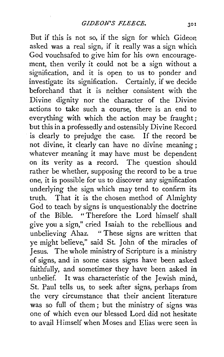But if this is not so, if the sign for which Gideor. asked was a real sign, if it really was a sign which God vouchsafed to give him for his own encouragement, then verily it could not be a sign without a signification, and it is open to us to ponder and investigate its signification. Certainly, if we decide beforehand that it is neither consistent with the Divine dignity nor the character of the Divine actions to take such a course, there is an end to everything with which the action may be fraught ; but this in a professedly and ostensibly Divine Record is clearly to prejudge the case. If the record be not divine, it clearly can have no divine meaning ; whatever meaning it may have must be dependent on its verity as a record. The question should rather be whether, supposing the record to be a true one, it is possible for us to discover any signification underlying the sign which may tend to confirm its truth. That it is the chosen method of Almighty God to teach by signs is unquestionably the doctrine of the Bible. " Therefore the Lord himself shall give you a sign," cried Isaiah to the rebellious and unbelieving Ahaz. "These signs are written that ye might believe," said St. John of the miracles of Jesus. The whole ministry of Scripture is a ministry of signs, and in some cases signs have been asked faithfully, and sometimes they have been asked in unbelief. It was characteristic of the Jewish mind, St. Paul tells us, to seek after signs, perhaps from the very circumstance that their ancient literature was so full of them ; but the ministry of signs was one of which even our blessed Lord did not hesitate to avail Himself when Moses and Elias were seen in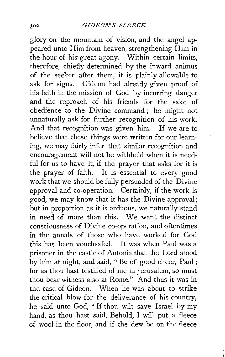glory on the mountain of vision, and the angel appeared unto Him from heaven, strengthening Him in the hour of his great agony. Within certain limits. therefore, chiefly determined by the inward animus of the seeker after them, it is plainly allowable to ask for signs. Gideon had already given proof of his faith in the mission of God by incurring danger and the reproach of his friends for the sake of obedience to the Divine command ; he might not unnaturally ask for further recognition of his work. And that recognition was given him. If we are to believe that these things were written for our learning, we may fairly infer that similar recognition and encouragement will not be withheld when it is needful for us to have it, if the prayer that asks for it is the prayer of faith. It is essential to every good work that we should be fully persuaded of the Divine approval and co-operation. Certainly, if the work is good, we may know that it has the Divine approval; but in proportion as it is arduous, we naturally stand in need of more than this. We want the distinct consciousness of Divine co-operation, and oftentimes in the annals of those who have worked for God this has been vouchsafed. It was when Paul was a prisoner in the castle of Antonia that the Lord stood by him at night, and said, " Be of good cheer, Paul ; for as thou hast testified of me in Jerusalem, so must thou bear witness also at Rome." And thus it was in the case of Gideon. When he was about to strike the critical blow for the deliverance of his country, he said unto God, " If thou wilt save Israel by my hand, as thou hast said, Behold, I will put a fleece of wool in the floor, and if the dew be on the fleece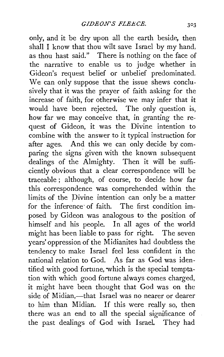only, and it be dry upon all the earth beside, then shall I know that thou wilt save Israel by my hand, as thou hast said." There is nothing on the face of the narrative to enable us to judge whether in Gideon's request belief or unbelief predominated. We can only suppose that the issue shews conclusively that it was the prayer of faith asking for the increase of faith, for otherwise we may infer that it would have been rejected. The only question is, how far we may conceive that, in granting the request of Gideon, it was the Divine intention to combine with the answer to it typical instruction for after ages. And this we can only decide by comparing the signs given with the known subsequent dealings of the Almighty. Then it will be sufficiently obvious that a clear correspondence will be traceable ; although, of course, to decide how far this correspondence was comprehended within the limits of the Divine intention can only be a matter for the inference· of faith. The first condition imposed by Gideon was analogous to the position of himself and his people. In all ages of the world might has been liable to pass for right. The seven years' oppression of the Midianites had doubtless the tendency to make Israel feel less confident in the national relation to God. As far as God was iden- tified with good fortune, which is the special temptation with which good fortune always comes charged, it might have been thought that God was on the side of Midian,-that Israel was no nearer or dearer to him than Midian. If this were really so, then there was an end to all the special significance of the past dealings of God with Israel. They had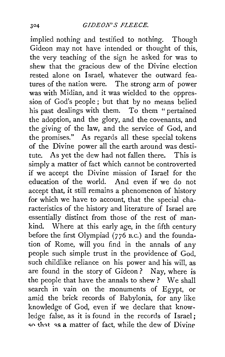implied nothing and testified to nothing. Though Gideon may not have intended or thought of this, the very teaching of the sign he asked for was to shew that the gracious dew of the Divine election rested alone on Israel, whatever the outward features of the nation were. The strong arm of power was with Midian, and it was wielded to the oppression of God's people; but that by no means belied his past dealings with them. To them " pertained the adoption, and the glory, and the covenants, and the giving of the law, and the service of God, and the promises." As regards all these special tokens of the Divine power all the earth around was destitute. As yet the dew had not fallen there. This is simply a matter of fact which cannot be controverted if we accept the Divine mission of Israel for the education of the world. And even if we do not accept that, it still remains a phenomenon of history for which we have to account, that the special characteristics of the history and literature of Israel are essentially distinct from those of the rest of mankind. Where at this early age, in the fifth century before the first Olympiad (776 B.C.) and the foundation of Rome, will you find in the annals of any people such simple trust in the providence of God, such childlike reliance on his power and his will, as are found in the story of Gideon ? Nay, where is the people that have the annals to shew ? We shall search in vain on the monuments of Egypt, or amid the brick records of Babylonia, for any like knowledge of God, even if we declare that knowledge false, as it is found in the records of Israel; so that as a matter of fact, while the dew of Divine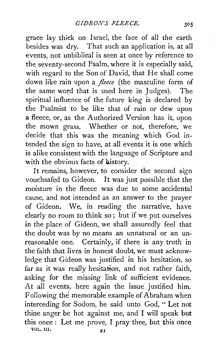grace lay thick on Israel, the face of all the earth besides was dry. That such an application is, at all events, not unbiblical is seen at once by reference to the seventy-second Psalm, where it is especially said, with regard to the Son of David, that He shall come down like rain upon a *fleece* (the masculine form of the same word that is used here in Judges). The spiritual influence of the future king is declared by the Psalmist to be like that of rain or dew upon a fleece, or, as the Authorized Version has it, upon the mown grass. Whether or not, therefore, we decide that this was the meaning which God intended the sign to have, at all events it is one which is alike consistent with the language of Scripture and with the obvious facts of history.

It remains, however, to consider the second sign vouchsafed to Gideon. It was just possible that the moisture in the fleece was due to some accidental cause, and not intended as an answer to the prayer of Gideon. We, in reading the narrative, have clearly no room to think so; but if we put ourselves in the place of Gideon, we shall assuredly feel that the doubt was by no means an unnatural or an unreasonable one. Certainly, if there is any truth in the faith that lives in honest doubt, we must acknowledge that Gideon was justified in his hesitation, so far as it was really hesitation, and not rather faith, asking for the missing link of sufficient evidence. At all events, here again the issue justified him. Following the memorable example of Abraham when interceding for Sodom, he said unto God, " Let not thine anger be hot against me, and I will speak but this once : Let me prove, I pray thee, but this once VOL. III.  $2I$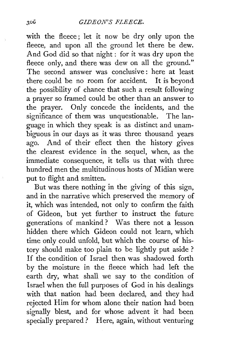with the fleece; let it now be dry only upon the fleece, and upon all the ground let there be dew. And God did so that night : for it was dry upon the fleece only, and there was dew on all the ground." The second answer was conclusive : here at least there could be no room for accident. It is beyond the possibility of chance that such a result following a prayer so framed could be other than an answer to the prayer. Only concede the incidents, and the significance of them was unquestionable. The language in which they speak is as distinct and unambiguous in our days as it was three thousand years ago. And of their effect then the history gives the clearest evidence in the sequel, when, as the immediate consequence, it tells us that with three hundred men the multitudinous hosts of Midian were put to flight and smitten.

But was there nothing in the giving of this sign, and in the narrative which preserved the memory of it, which was intended, not only to confirm the faith of Gideon, but yet further to instruct the future generations of mankind ? Was there not a lesson hidden there which Gideon could not learn, which time only could unfold, but which the course of history should make too plain to be lightly put aside ? If the condition of Israel then was shadowed forth by the moisture in the fleece which had left the earth dry, what shall we say to the condition of Israel when the full purposes of God in his dealings with that nation had been declared, and they had rejected Him for whom alone their nation had been signally blest, and for whose advent it had been specially prepared? Here, again, without venturing